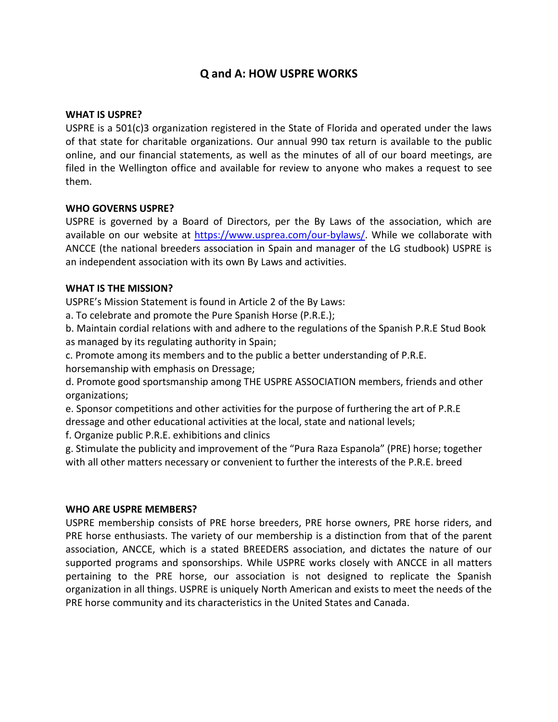# **Q and A: HOW USPRE WORKS**

#### **WHAT IS USPRE?**

USPRE is a 501(c)3 organization registered in the State of Florida and operated under the laws of that state for charitable organizations. Our annual 990 tax return is available to the public online, and our financial statements, as well as the minutes of all of our board meetings, are filed in the Wellington office and available for review to anyone who makes a request to see them.

## **WHO GOVERNS USPRE?**

USPRE is governed by a Board of Directors, per the By Laws of the association, which are available on our website at [https://www.usprea.com/our-bylaws/.](https://www.usprea.com/our-bylaws/) While we collaborate with ANCCE (the national breeders association in Spain and manager of the LG studbook) USPRE is an independent association with its own By Laws and activities.

#### **WHAT IS THE MISSION?**

USPRE's Mission Statement is found in Article 2 of the By Laws:

a. To celebrate and promote the Pure Spanish Horse (P.R.E.);

b. Maintain cordial relations with and adhere to the regulations of the Spanish P.R.E Stud Book as managed by its regulating authority in Spain;

c. Promote among its members and to the public a better understanding of P.R.E. horsemanship with emphasis on Dressage;

d. Promote good sportsmanship among THE USPRE ASSOCIATION members, friends and other organizations;

e. Sponsor competitions and other activities for the purpose of furthering the art of P.R.E dressage and other educational activities at the local, state and national levels;

f. Organize public P.R.E. exhibitions and clinics

g. Stimulate the publicity and improvement of the "Pura Raza Espanola" (PRE) horse; together with all other matters necessary or convenient to further the interests of the P.R.E. breed

#### **WHO ARE USPRE MEMBERS?**

USPRE membership consists of PRE horse breeders, PRE horse owners, PRE horse riders, and PRE horse enthusiasts. The variety of our membership is a distinction from that of the parent association, ANCCE, which is a stated BREEDERS association, and dictates the nature of our supported programs and sponsorships. While USPRE works closely with ANCCE in all matters pertaining to the PRE horse, our association is not designed to replicate the Spanish organization in all things. USPRE is uniquely North American and exists to meet the needs of the PRE horse community and its characteristics in the United States and Canada.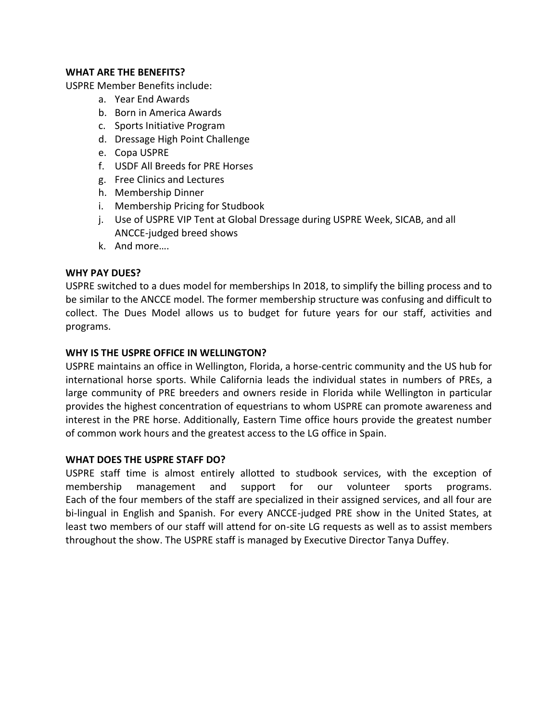## **WHAT ARE THE BENEFITS?**

USPRE Member Benefits include:

- a. Year End Awards
- b. Born in America Awards
- c. Sports Initiative Program
- d. Dressage High Point Challenge
- e. Copa USPRE
- f. USDF All Breeds for PRE Horses
- g. Free Clinics and Lectures
- h. Membership Dinner
- i. Membership Pricing for Studbook
- j. Use of USPRE VIP Tent at Global Dressage during USPRE Week, SICAB, and all ANCCE-judged breed shows
- k. And more….

## **WHY PAY DUES?**

USPRE switched to a dues model for memberships In 2018, to simplify the billing process and to be similar to the ANCCE model. The former membership structure was confusing and difficult to collect. The Dues Model allows us to budget for future years for our staff, activities and programs.

## **WHY IS THE USPRE OFFICE IN WELLINGTON?**

USPRE maintains an office in Wellington, Florida, a horse-centric community and the US hub for international horse sports. While California leads the individual states in numbers of PREs, a large community of PRE breeders and owners reside in Florida while Wellington in particular provides the highest concentration of equestrians to whom USPRE can promote awareness and interest in the PRE horse. Additionally, Eastern Time office hours provide the greatest number of common work hours and the greatest access to the LG office in Spain.

#### **WHAT DOES THE USPRE STAFF DO?**

USPRE staff time is almost entirely allotted to studbook services, with the exception of membership management and support for our volunteer sports programs. Each of the four members of the staff are specialized in their assigned services, and all four are bi-lingual in English and Spanish. For every ANCCE-judged PRE show in the United States, at least two members of our staff will attend for on-site LG requests as well as to assist members throughout the show. The USPRE staff is managed by Executive Director Tanya Duffey.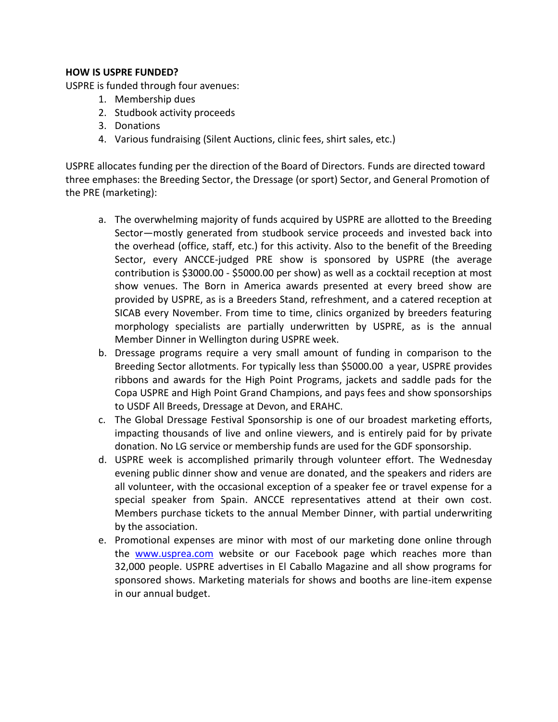# **HOW IS USPRE FUNDED?**

USPRE is funded through four avenues:

- 1. Membership dues
- 2. Studbook activity proceeds
- 3. Donations
- 4. Various fundraising (Silent Auctions, clinic fees, shirt sales, etc.)

USPRE allocates funding per the direction of the Board of Directors. Funds are directed toward three emphases: the Breeding Sector, the Dressage (or sport) Sector, and General Promotion of the PRE (marketing):

- a. The overwhelming majority of funds acquired by USPRE are allotted to the Breeding Sector—mostly generated from studbook service proceeds and invested back into the overhead (office, staff, etc.) for this activity. Also to the benefit of the Breeding Sector, every ANCCE-judged PRE show is sponsored by USPRE (the average contribution is \$3000.00 - \$5000.00 per show) as well as a cocktail reception at most show venues. The Born in America awards presented at every breed show are provided by USPRE, as is a Breeders Stand, refreshment, and a catered reception at SICAB every November. From time to time, clinics organized by breeders featuring morphology specialists are partially underwritten by USPRE, as is the annual Member Dinner in Wellington during USPRE week.
- b. Dressage programs require a very small amount of funding in comparison to the Breeding Sector allotments. For typically less than \$5000.00 a year, USPRE provides ribbons and awards for the High Point Programs, jackets and saddle pads for the Copa USPRE and High Point Grand Champions, and pays fees and show sponsorships to USDF All Breeds, Dressage at Devon, and ERAHC.
- c. The Global Dressage Festival Sponsorship is one of our broadest marketing efforts, impacting thousands of live and online viewers, and is entirely paid for by private donation. No LG service or membership funds are used for the GDF sponsorship.
- d. USPRE week is accomplished primarily through volunteer effort. The Wednesday evening public dinner show and venue are donated, and the speakers and riders are all volunteer, with the occasional exception of a speaker fee or travel expense for a special speaker from Spain. ANCCE representatives attend at their own cost. Members purchase tickets to the annual Member Dinner, with partial underwriting by the association.
- e. Promotional expenses are minor with most of our marketing done online through the [www.usprea.com](http://www.usprea.com/) website or our Facebook page which reaches more than 32,000 people. USPRE advertises in El Caballo Magazine and all show programs for sponsored shows. Marketing materials for shows and booths are line-item expense in our annual budget.